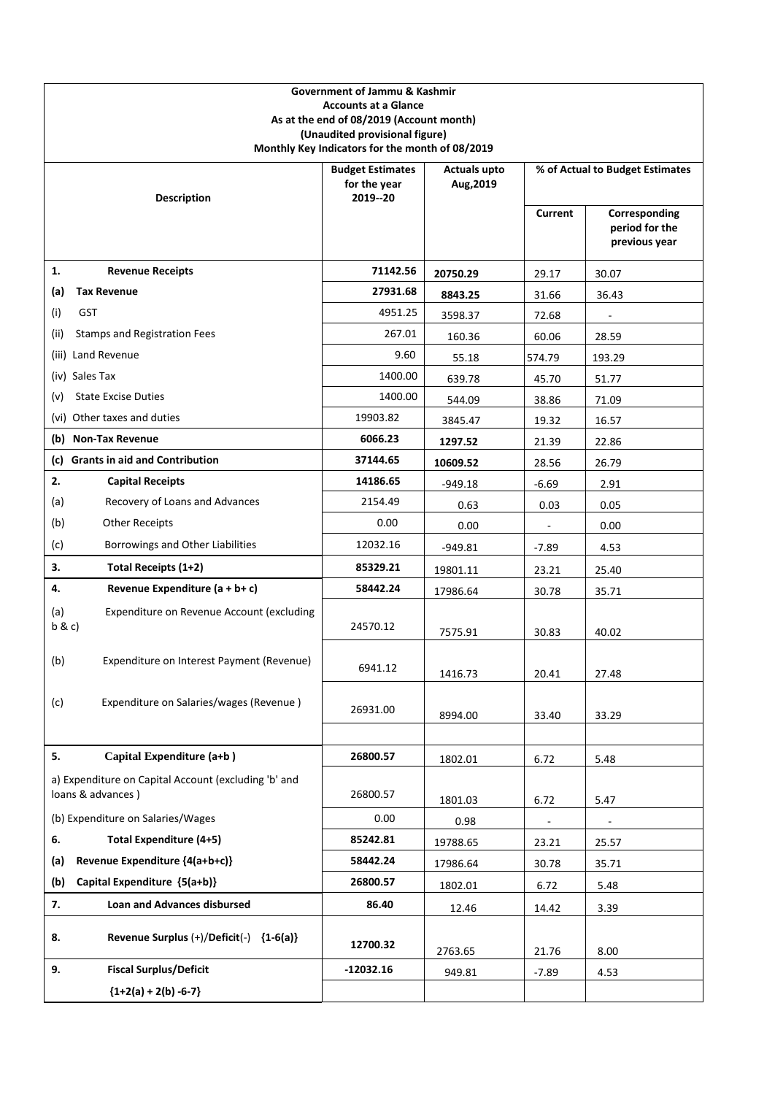| <b>Government of Jammu &amp; Kashmir</b><br><b>Accounts at a Glance</b><br>As at the end of 08/2019 (Account month)<br>(Unaudited provisional figure)<br>Monthly Key Indicators for the month of 08/2019 |                                                       |                                  |         |                                                  |
|----------------------------------------------------------------------------------------------------------------------------------------------------------------------------------------------------------|-------------------------------------------------------|----------------------------------|---------|--------------------------------------------------|
| <b>Description</b>                                                                                                                                                                                       | <b>Budget Estimates</b><br>for the year<br>2019 -- 20 | <b>Actuals upto</b><br>Aug, 2019 |         | % of Actual to Budget Estimates                  |
|                                                                                                                                                                                                          |                                                       |                                  | Current | Corresponding<br>period for the<br>previous year |
| 1.<br><b>Revenue Receipts</b>                                                                                                                                                                            | 71142.56                                              | 20750.29                         | 29.17   | 30.07                                            |
| <b>Tax Revenue</b><br>(a)                                                                                                                                                                                | 27931.68                                              | 8843.25                          | 31.66   | 36.43                                            |
| <b>GST</b><br>(i)                                                                                                                                                                                        | 4951.25                                               | 3598.37                          | 72.68   | $\qquad \qquad \blacksquare$                     |
| <b>Stamps and Registration Fees</b><br>(ii)                                                                                                                                                              | 267.01                                                | 160.36                           | 60.06   | 28.59                                            |
| (iii) Land Revenue                                                                                                                                                                                       | 9.60                                                  | 55.18                            | 574.79  | 193.29                                           |
| (iv) Sales Tax                                                                                                                                                                                           | 1400.00                                               | 639.78                           | 45.70   | 51.77                                            |
| <b>State Excise Duties</b><br>(v)                                                                                                                                                                        | 1400.00                                               | 544.09                           | 38.86   | 71.09                                            |
| (vi) Other taxes and duties                                                                                                                                                                              | 19903.82                                              | 3845.47                          | 19.32   | 16.57                                            |
| (b) Non-Tax Revenue                                                                                                                                                                                      | 6066.23                                               | 1297.52                          | 21.39   | 22.86                                            |
| (c) Grants in aid and Contribution                                                                                                                                                                       | 37144.65                                              | 10609.52                         | 28.56   | 26.79                                            |
| 2.<br><b>Capital Receipts</b>                                                                                                                                                                            | 14186.65                                              | $-949.18$                        | $-6.69$ | 2.91                                             |
| (a)<br>Recovery of Loans and Advances                                                                                                                                                                    | 2154.49                                               | 0.63                             | 0.03    | 0.05                                             |
| (b)<br><b>Other Receipts</b>                                                                                                                                                                             | 0.00                                                  | 0.00                             |         | 0.00                                             |
| (c)<br>Borrowings and Other Liabilities                                                                                                                                                                  | 12032.16                                              | $-949.81$                        | $-7.89$ | 4.53                                             |
| 3.<br>Total Receipts (1+2)                                                                                                                                                                               | 85329.21                                              | 19801.11                         | 23.21   | 25.40                                            |
| 4.<br>Revenue Expenditure (a + b+ c)                                                                                                                                                                     | 58442.24                                              | 17986.64                         | 30.78   | 35.71                                            |
| Expenditure on Revenue Account (excluding<br>(a)<br>b & c                                                                                                                                                | 24570.12                                              | 7575.91                          | 30.83   | 40.02                                            |
| (b)<br>Expenditure on Interest Payment (Revenue)                                                                                                                                                         | 6941.12                                               | 1416.73                          | 20.41   | 27.48                                            |
| Expenditure on Salaries/wages (Revenue)<br>(c)                                                                                                                                                           | 26931.00                                              | 8994.00                          | 33.40   | 33.29                                            |
|                                                                                                                                                                                                          |                                                       |                                  |         |                                                  |
| Capital Expenditure (a+b)<br>5.                                                                                                                                                                          | 26800.57                                              | 1802.01                          | 6.72    | 5.48                                             |
| a) Expenditure on Capital Account (excluding 'b' and<br>loans & advances)                                                                                                                                | 26800.57                                              | 1801.03                          | 6.72    | 5.47                                             |
| (b) Expenditure on Salaries/Wages                                                                                                                                                                        | 0.00                                                  | 0.98                             |         |                                                  |
| Total Expenditure (4+5)<br>6.                                                                                                                                                                            | 85242.81                                              | 19788.65                         | 23.21   | 25.57                                            |
| Revenue Expenditure {4(a+b+c)}<br>(a)                                                                                                                                                                    | 58442.24                                              | 17986.64                         | 30.78   | 35.71                                            |
| Capital Expenditure {5(a+b)}<br>(b)                                                                                                                                                                      | 26800.57                                              | 1802.01                          | 6.72    | 5.48                                             |
| <b>Loan and Advances disbursed</b><br>7.                                                                                                                                                                 | 86.40                                                 | 12.46                            | 14.42   | 3.39                                             |
| Revenue Surplus (+)/Deficit(-) {1-6(a)}<br>8.                                                                                                                                                            | 12700.32                                              | 2763.65                          | 21.76   | 8.00                                             |
| 9.<br><b>Fiscal Surplus/Deficit</b>                                                                                                                                                                      | $-12032.16$                                           | 949.81                           | $-7.89$ | 4.53                                             |
| ${1+2(a) + 2(b) -6-7}$                                                                                                                                                                                   |                                                       |                                  |         |                                                  |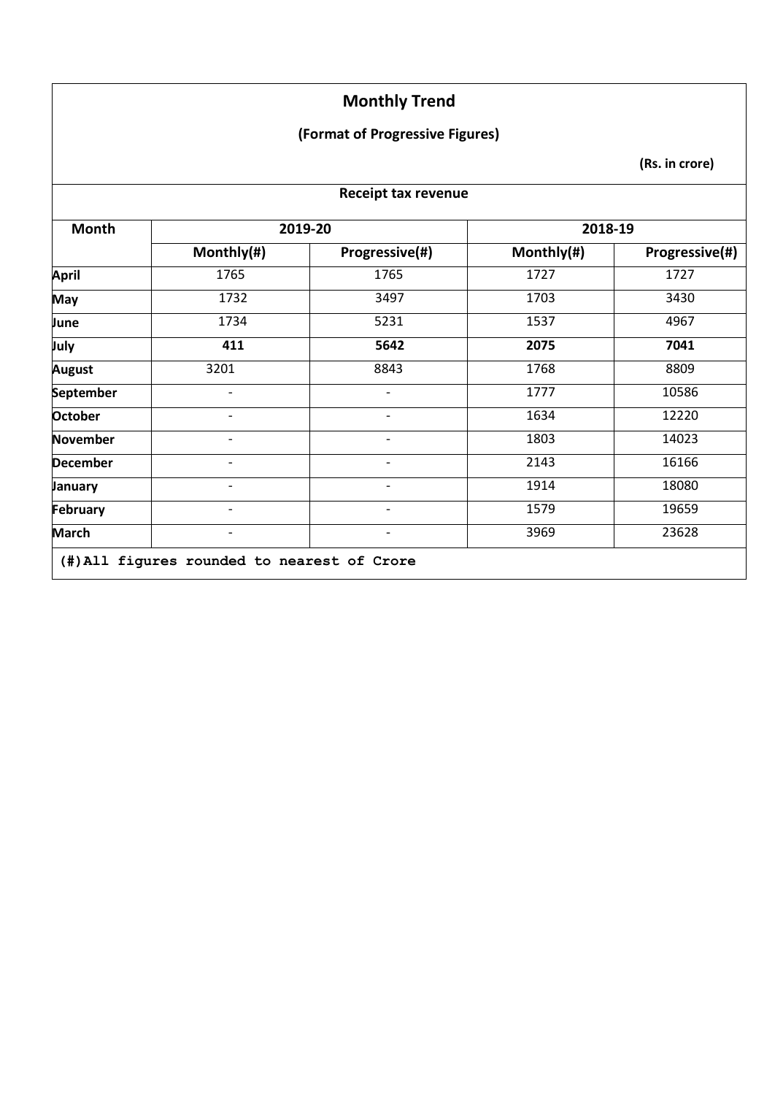#### **(Format of Progressive Figures)**

**(Rs. in crore)**

#### **Receipt tax revenue**

| Month           | 2019-20                  |                          | 2018-19    |                |
|-----------------|--------------------------|--------------------------|------------|----------------|
|                 | Monthly(#)               | Progressive(#)           | Monthly(#) | Progressive(#) |
| <b>April</b>    | 1765                     | 1765                     | 1727       | 1727           |
| May             | 1732                     | 3497                     | 1703       | 3430           |
| June            | 1734                     | 5231                     | 1537       | 4967           |
| July            | 411                      | 5642                     | 2075       | 7041           |
| <b>August</b>   | 3201                     | 8843                     | 1768       | 8809           |
| September       | $\overline{a}$           | $\overline{\phantom{0}}$ | 1777       | 10586          |
| <b>October</b>  |                          | -                        | 1634       | 12220          |
| November        | -                        | -                        | 1803       | 14023          |
| <b>December</b> |                          | -                        | 2143       | 16166          |
| January         | $\overline{\phantom{a}}$ | -                        | 1914       | 18080          |
| <b>February</b> |                          |                          | 1579       | 19659          |
| <b>March</b>    | $\overline{\phantom{a}}$ | -                        | 3969       | 23628          |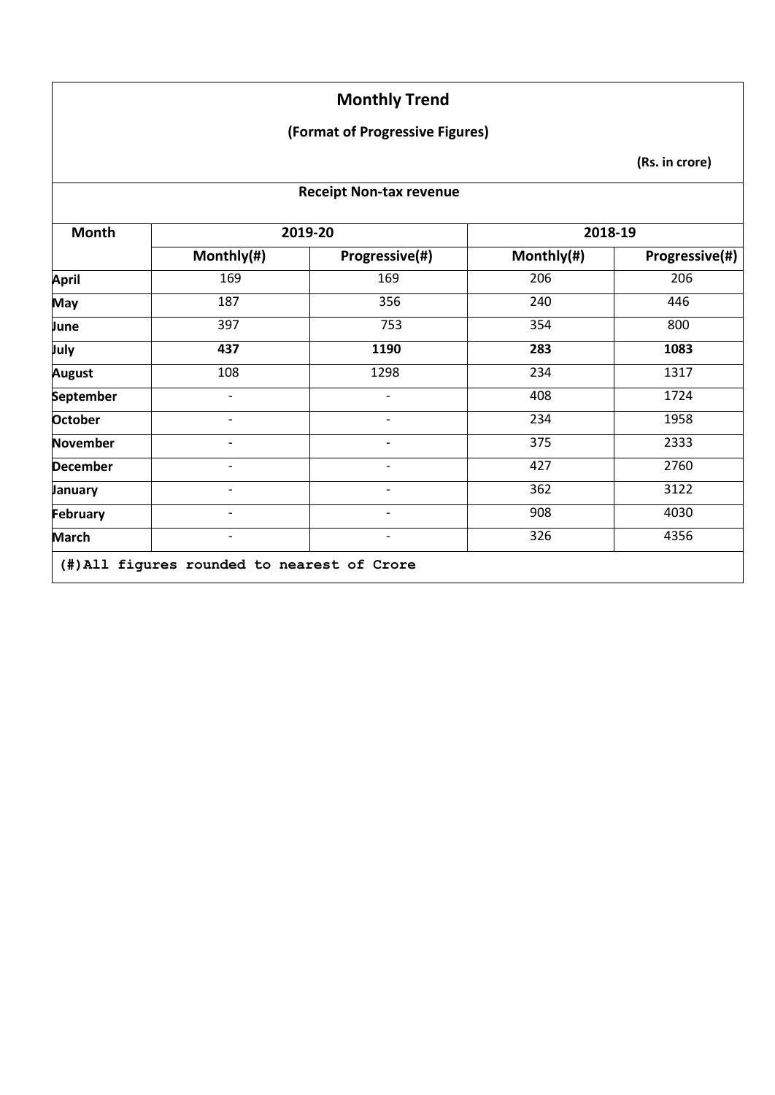#### **(Format of Progressive Figures)**

**(Rs. in crore)**

#### **Receipt Non-tax revenue**

| Progressive(#)<br>169<br>356<br>753<br>1190<br>1298 | Monthly(#)<br>206<br>240<br>354<br>283 | Progressive(#)<br>206<br>446<br>800         |
|-----------------------------------------------------|----------------------------------------|---------------------------------------------|
|                                                     |                                        |                                             |
|                                                     |                                        |                                             |
|                                                     |                                        |                                             |
|                                                     |                                        |                                             |
|                                                     |                                        | 1083                                        |
|                                                     | 234                                    | 1317                                        |
| $\overline{\phantom{0}}$                            | 408                                    | 1724                                        |
| $\overline{\phantom{a}}$                            | 234                                    | 1958                                        |
|                                                     | 375                                    | 2333                                        |
| $\overline{\phantom{a}}$                            | 427                                    | 2760                                        |
|                                                     | 362                                    | 3122                                        |
| $\overline{\phantom{a}}$                            | 908                                    | 4030                                        |
|                                                     | 326                                    | 4356                                        |
|                                                     |                                        | (#) All figures rounded to nearest of Crore |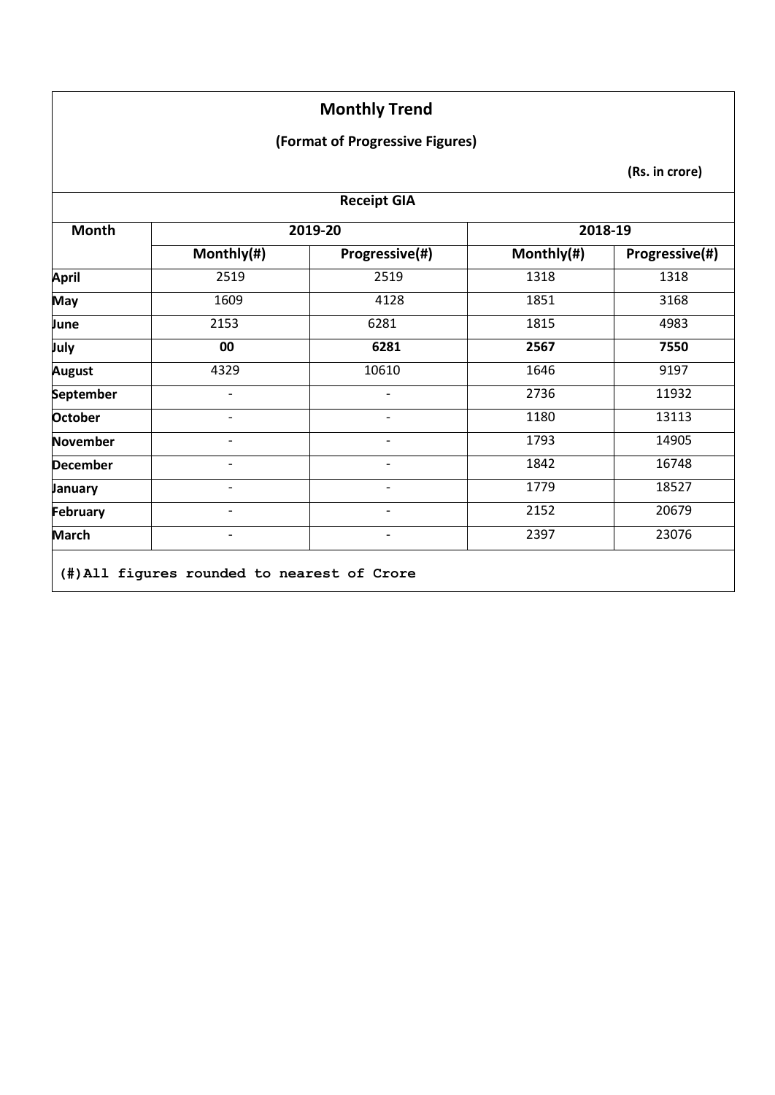## **(Format of Progressive Figures)**

| <b>Receipt GIA</b> |                              |                          |            |                |
|--------------------|------------------------------|--------------------------|------------|----------------|
| Month              |                              | 2019-20                  |            | 2018-19        |
|                    | Monthly(#)                   | Progressive(#)           | Monthly(#) | Progressive(#) |
| <b>April</b>       | 2519                         | 2519                     | 1318       | 1318           |
| May                | 1609                         | 4128                     | 1851       | 3168           |
| June               | 2153                         | 6281                     | 1815       | 4983           |
| July               | 00                           | 6281                     | 2567       | 7550           |
| <b>August</b>      | 4329                         | 10610                    | 1646       | 9197           |
| September          | $\overline{\phantom{a}}$     | $\overline{\phantom{0}}$ | 2736       | 11932          |
| <b>October</b>     |                              | $\overline{a}$           | 1180       | 13113          |
| <b>November</b>    |                              |                          | 1793       | 14905          |
| <b>December</b>    |                              | -                        | 1842       | 16748          |
| January            |                              | $\overline{\phantom{0}}$ | 1779       | 18527          |
| February           | $\qquad \qquad \blacksquare$ | $\overline{\phantom{0}}$ | 2152       | 20679          |
| <b>March</b>       |                              | -                        | 2397       | 23076          |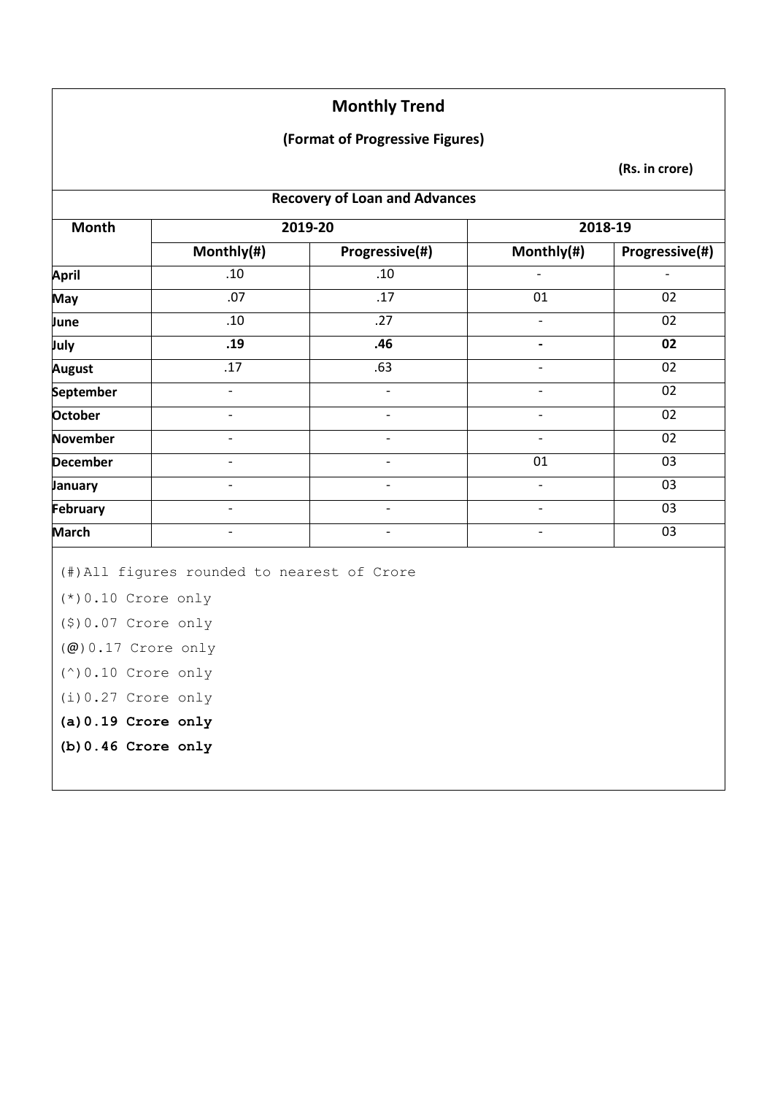#### **(Format of Progressive Figures)**

|                                                                                                                                                                                       |                                             | <b>Recovery of Loan and Advances</b> |                              |                 |
|---------------------------------------------------------------------------------------------------------------------------------------------------------------------------------------|---------------------------------------------|--------------------------------------|------------------------------|-----------------|
| <b>Month</b>                                                                                                                                                                          |                                             | 2019-20                              |                              | 2018-19         |
| Monthly(#)<br>.10                                                                                                                                                                     | Progressive(#)                              | Monthly(#)                           | <b>Progressive(#)</b>        |                 |
| <b>April</b>                                                                                                                                                                          |                                             | .10                                  |                              |                 |
| May                                                                                                                                                                                   | .07                                         | $\overline{.17}$                     | 01                           | $\overline{02}$ |
| June                                                                                                                                                                                  | .10                                         | .27                                  | $\overline{\phantom{m}}$     | 02              |
| July                                                                                                                                                                                  | .19                                         | .46                                  | $\qquad \qquad \blacksquare$ | 02              |
| <b>August</b>                                                                                                                                                                         | .17                                         | .63                                  | $\overline{\phantom{a}}$     | 02              |
| September                                                                                                                                                                             | $\blacksquare$                              | $\overline{a}$                       | $\blacksquare$               | 02              |
| October                                                                                                                                                                               | $\overline{\phantom{a}}$                    | $\frac{1}{2}$                        | $\overline{\phantom{a}}$     | 02              |
| <b>November</b>                                                                                                                                                                       | $\overline{\phantom{a}}$                    | $\overline{\phantom{a}}$             | $\overline{\phantom{a}}$     | 02              |
| <b>December</b>                                                                                                                                                                       | $\overline{\phantom{a}}$                    | $\overline{\phantom{0}}$             | 01                           | 03              |
| January                                                                                                                                                                               | $\overline{\phantom{a}}$                    | $\frac{1}{2}$                        | $\overline{\phantom{a}}$     | 03              |
| February                                                                                                                                                                              | $\overline{\phantom{a}}$                    | $\frac{1}{2}$                        | $\overline{\phantom{a}}$     | 03              |
| <b>March</b>                                                                                                                                                                          | $\overline{a}$                              | $\overline{\phantom{0}}$             | $\blacksquare$               | 03              |
| $(*)0.10$ Crore only<br>$(9) 0.07$ Crore only<br>$(\omega)$ 0.17 Crore only<br>$(^\wedge)$ 0.10 Crore only<br>$(i) 0.27$ Crore only<br>$(a) 0.19$ Crore only<br>$(b) 0.46$ Crore only | (#) All figures rounded to nearest of Crore |                                      |                              |                 |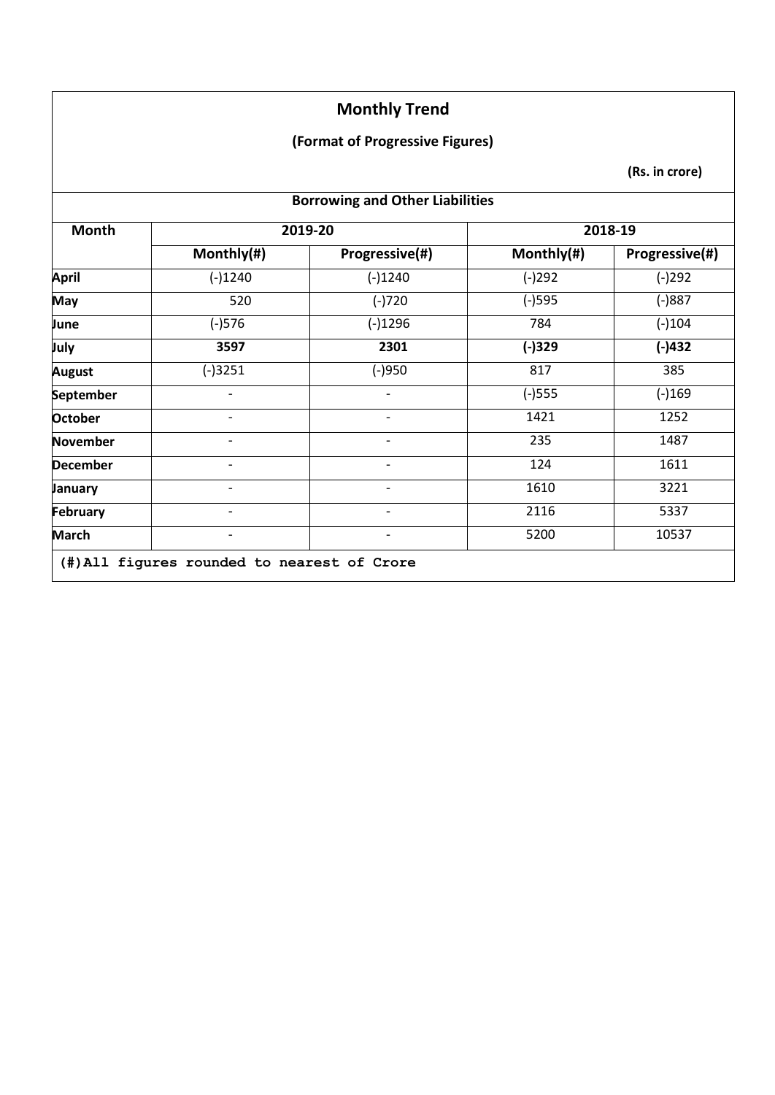## **(Format of Progressive Figures)**

| <b>Borrowing and Other Liabilities</b> |                          |                          |            |                |
|----------------------------------------|--------------------------|--------------------------|------------|----------------|
| <b>Month</b>                           |                          | 2019-20                  |            | 2018-19        |
|                                        | Monthly(#)               | Progressive(#)           | Monthly(#) | Progressive(#) |
| April                                  | $(-)1240$                | $(-)1240$                | $(-)292$   | $(-)292$       |
| <b>May</b>                             | 520                      | $(-)720$                 | $(-)$ 595  | $(-)887$       |
| June                                   | $(-)576$                 | $(-)1296$                | 784        | $(-)104$       |
| July                                   | 3597                     | 2301                     | $(-)329$   | $(-)432$       |
| <b>August</b>                          | $(-)3251$                | $(-)950$                 | 817        | 385            |
| September                              |                          |                          | $(-)$ 555  | $(-)169$       |
| <b>October</b>                         | -                        | -                        | 1421       | 1252           |
| <b>November</b>                        | $\overline{\phantom{a}}$ | $\overline{\phantom{a}}$ | 235        | 1487           |
| <b>December</b>                        |                          | $\overline{\phantom{0}}$ | 124        | 1611           |
| January                                |                          | -                        | 1610       | 3221           |
| February                               |                          | $\overline{\phantom{0}}$ | 2116       | 5337           |
| <b>March</b>                           | $\overline{\phantom{a}}$ | $\overline{\phantom{a}}$ | 5200       | 10537          |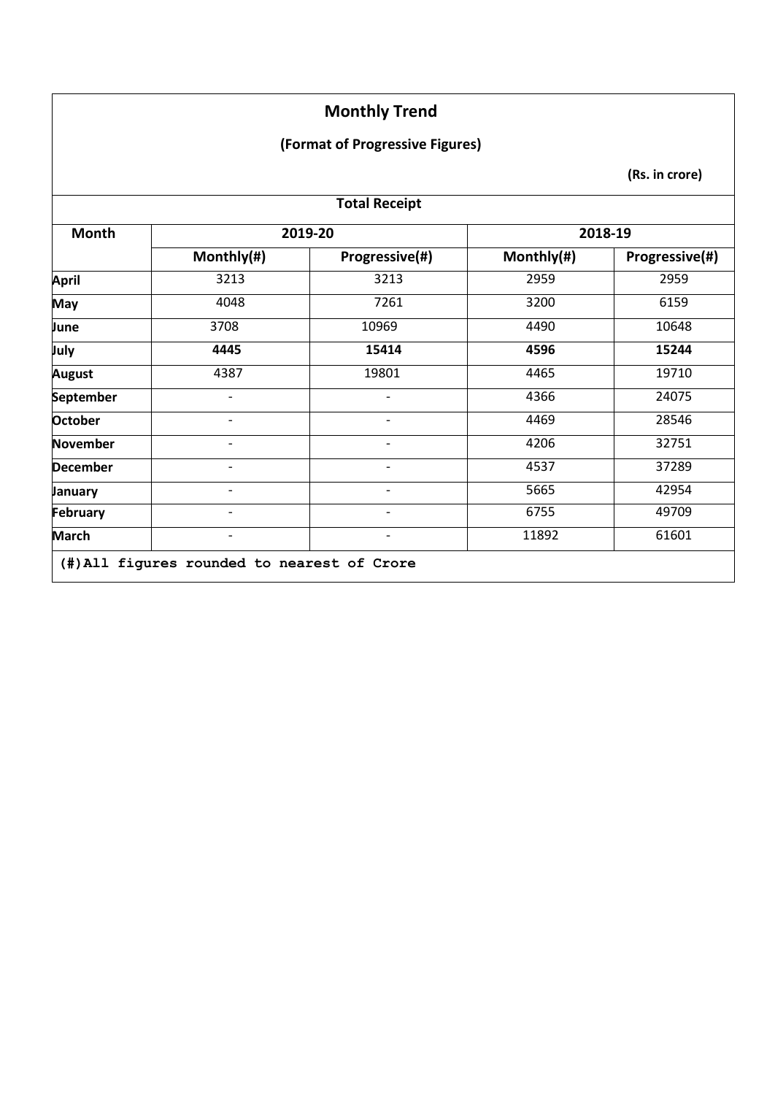#### **(Format of Progressive Figures)**

| <b>Total Receipt</b> |                                             |                          |            |                |
|----------------------|---------------------------------------------|--------------------------|------------|----------------|
| <b>Month</b>         |                                             | 2019-20                  |            | 2018-19        |
|                      | Monthly(#)                                  | Progressive(#)           | Monthly(#) | Progressive(#) |
| April                | 3213                                        | 3213                     | 2959       | 2959           |
| <b>May</b>           | 4048                                        | 7261                     | 3200       | 6159           |
| June                 | 3708                                        | 10969                    | 4490       | 10648          |
| July                 | 4445                                        | 15414                    | 4596       | 15244          |
| <b>August</b>        | 4387                                        | 19801                    | 4465       | 19710          |
| September            |                                             |                          | 4366       | 24075          |
| <b>October</b>       | $\overline{\phantom{0}}$                    | $\overline{\phantom{a}}$ | 4469       | 28546          |
| November             |                                             |                          | 4206       | 32751          |
| <b>December</b>      |                                             |                          | 4537       | 37289          |
| <b>January</b>       |                                             | $\overline{\phantom{a}}$ | 5665       | 42954          |
| February             | $\overline{\phantom{a}}$                    | $\overline{\phantom{a}}$ | 6755       | 49709          |
| <b>March</b>         |                                             |                          | 11892      | 61601          |
|                      | (#) All figures rounded to nearest of Crore |                          |            |                |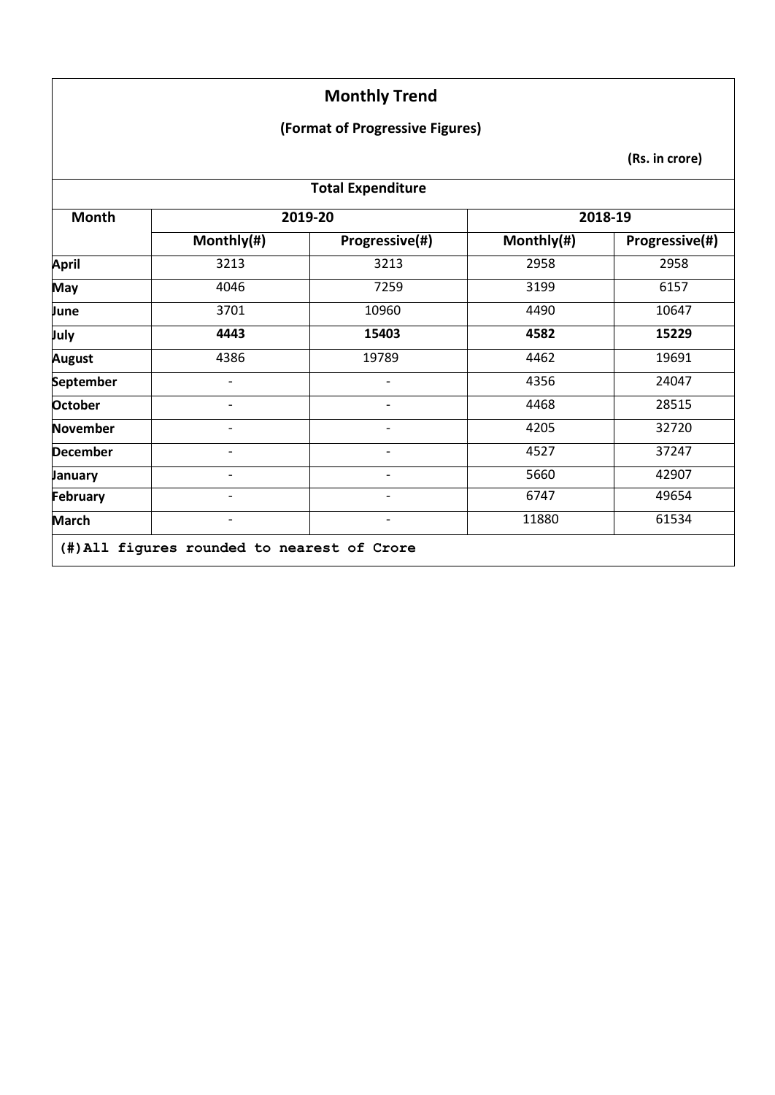#### **(Format of Progressive Figures)**

| <b>Total Expenditure</b> |            |                          |            |                |
|--------------------------|------------|--------------------------|------------|----------------|
| <b>Month</b>             |            | 2019-20                  |            | 2018-19        |
|                          | Monthly(#) | Progressive(#)           | Monthly(#) | Progressive(#) |
| April                    | 3213       | 3213                     | 2958       | 2958           |
| May                      | 4046       | 7259                     | 3199       | 6157           |
| June                     | 3701       | 10960                    | 4490       | 10647          |
| July                     | 4443       | 15403                    | 4582       | 15229          |
| <b>August</b>            | 4386       | 19789                    | 4462       | 19691          |
| September                |            |                          | 4356       | 24047          |
| <b>October</b>           |            | $\overline{\phantom{a}}$ | 4468       | 28515          |
| <b>November</b>          |            |                          | 4205       | 32720          |
| <b>December</b>          |            |                          | 4527       | 37247          |
| January                  |            |                          | 5660       | 42907          |
| February                 |            | $\overline{\phantom{a}}$ | 6747       | 49654          |
| <b>March</b>             |            |                          | 11880      | 61534          |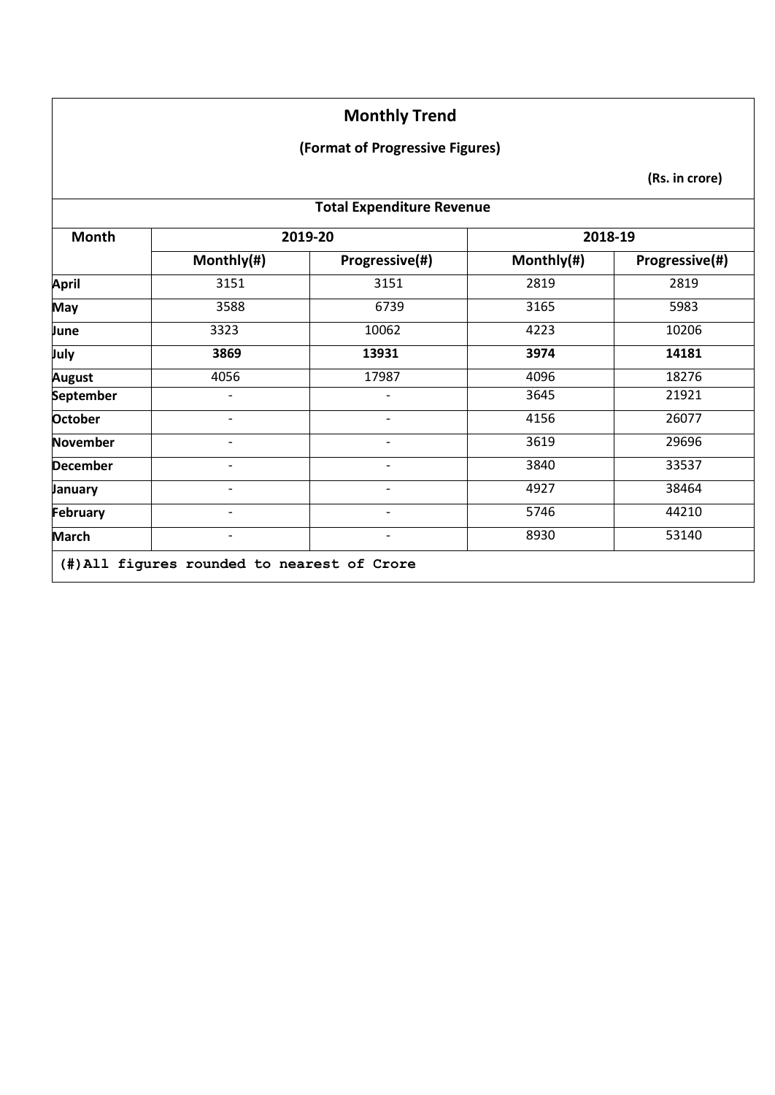#### **(Format of Progressive Figures)**

| <b>Total Expenditure Revenue</b> |                          |                              |            |                |
|----------------------------------|--------------------------|------------------------------|------------|----------------|
| Month                            |                          | 2019-20                      | 2018-19    |                |
|                                  | Monthly(#)               | Progressive(#)               | Monthly(#) | Progressive(#) |
| April                            | 3151                     | 3151                         | 2819       | 2819           |
| <b>May</b>                       | 3588                     | 6739                         | 3165       | 5983           |
| June                             | 3323                     | 10062                        | 4223       | 10206          |
| July                             | 3869                     | 13931                        | 3974       | 14181          |
| <b>August</b>                    | 4056                     | 17987                        | 4096       | 18276          |
| September                        |                          |                              | 3645       | 21921          |
| <b>October</b>                   | $\overline{\phantom{a}}$ | $\qquad \qquad \blacksquare$ | 4156       | 26077          |
| November                         | $\overline{\phantom{a}}$ | $\qquad \qquad \blacksquare$ | 3619       | 29696          |
| <b>December</b>                  | $\overline{\phantom{0}}$ | $\overline{\phantom{0}}$     | 3840       | 33537          |
| January                          |                          |                              | 4927       | 38464          |
| February                         | $\overline{\phantom{a}}$ | $\overline{\phantom{0}}$     | 5746       | 44210          |
| <b>March</b>                     | $\overline{\phantom{a}}$ | $\overline{\phantom{a}}$     | 8930       | 53140          |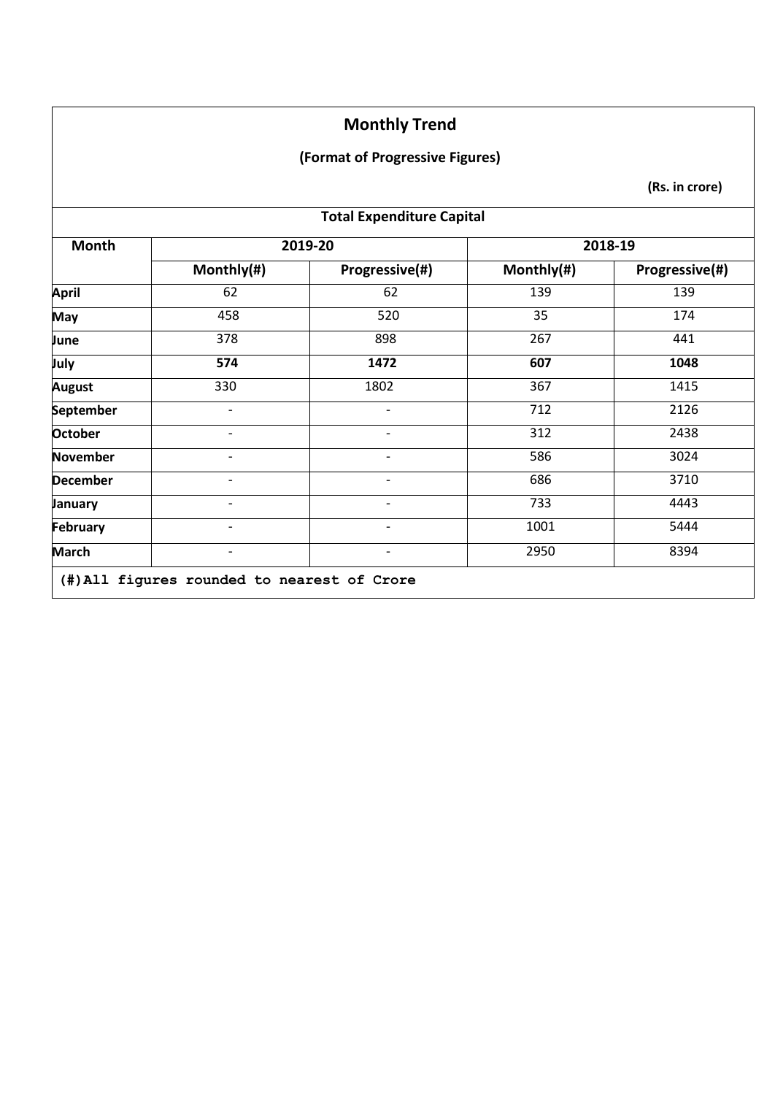#### **(Format of Progressive Figures)**

| <b>Total Expenditure Capital</b> |                          |                          |            |                |
|----------------------------------|--------------------------|--------------------------|------------|----------------|
| Month                            |                          | 2019-20                  |            | 2018-19        |
|                                  | Monthly(#)               | Progressive(#)           | Monthly(#) | Progressive(#) |
| <b>April</b>                     | 62                       | 62                       | 139        | 139            |
| May                              | 458                      | 520                      | 35         | 174            |
| June                             | 378                      | 898                      | 267        | 441            |
| July                             | 574                      | 1472                     | 607        | 1048           |
| <b>August</b>                    | 330                      | 1802                     | 367        | 1415           |
| <b>September</b>                 |                          |                          | 712        | 2126           |
| <b>October</b>                   | $\overline{\phantom{0}}$ | $\overline{\phantom{0}}$ | 312        | 2438           |
| <b>November</b>                  | $\overline{\phantom{a}}$ | -                        | 586        | 3024           |
| <b>December</b>                  | $\overline{\phantom{0}}$ |                          | 686        | 3710           |
| January                          |                          |                          | 733        | 4443           |
| February                         | $\overline{\phantom{a}}$ | $\overline{a}$           | 1001       | 5444           |
| <b>March</b>                     | $\overline{\phantom{a}}$ | $\overline{\phantom{0}}$ | 2950       | 8394           |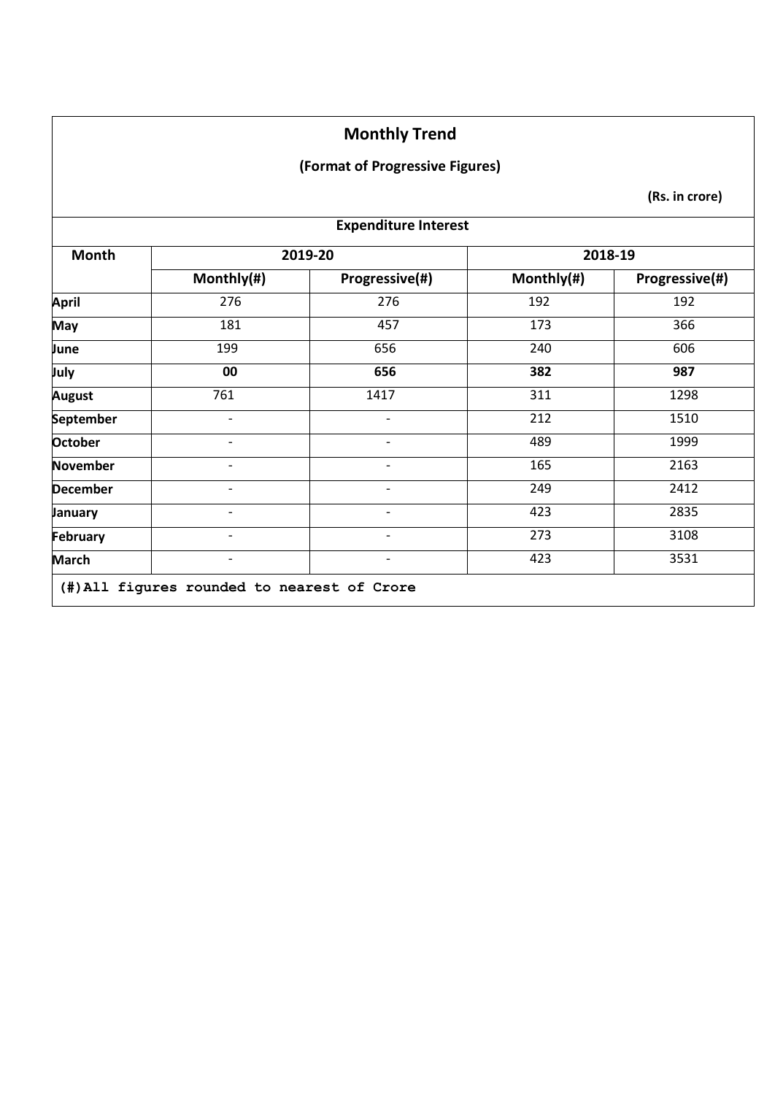#### **(Format of Progressive Figures)**

| <b>Expenditure Interest</b> |                          |                              |            |                |
|-----------------------------|--------------------------|------------------------------|------------|----------------|
| <b>Month</b>                |                          | 2019-20                      |            | 2018-19        |
|                             | Monthly(#)               | Progressive(#)               | Monthly(#) | Progressive(#) |
| <b>April</b>                | 276                      | 276                          | 192        | 192            |
| <b>May</b>                  | 181                      | 457                          | 173        | 366            |
| June                        | 199                      | 656                          | 240        | 606            |
| July                        | 00                       | 656                          | 382        | 987            |
| <b>August</b>               | 761                      | 1417                         | 311        | 1298           |
| <b>September</b>            | $\blacksquare$           | $\qquad \qquad \blacksquare$ | 212        | 1510           |
| <b>October</b>              | -                        | $\qquad \qquad \blacksquare$ | 489        | 1999           |
| November                    | $\overline{\phantom{a}}$ | $\overline{\phantom{a}}$     | 165        | 2163           |
| <b>December</b>             | $\overline{\phantom{0}}$ |                              | 249        | 2412           |
| January                     | $\overline{\phantom{0}}$ | $\overline{\phantom{0}}$     | 423        | 2835           |
| February                    | -                        | $\qquad \qquad \blacksquare$ | 273        | 3108           |
| <b>March</b>                | $\overline{\phantom{0}}$ | $\overline{\phantom{a}}$     | 423        | 3531           |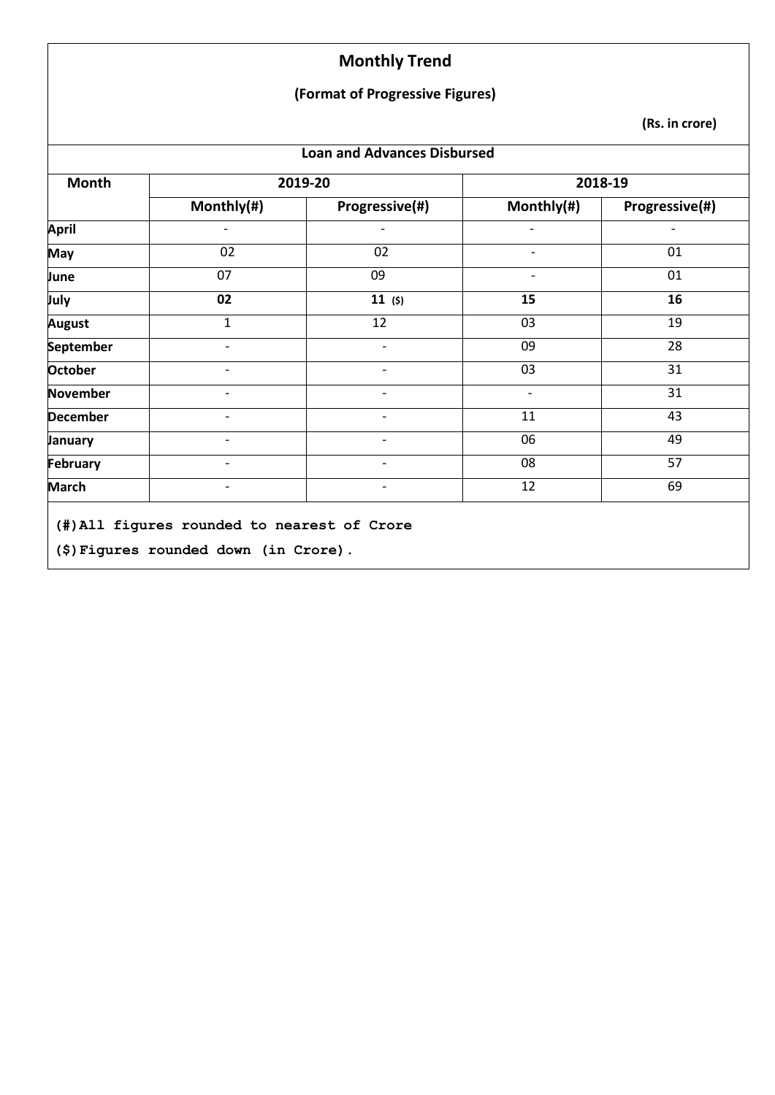#### **(Format of Progressive Figures)**

| Month           |                          | 2019-20                  |                          | 2018-19        |
|-----------------|--------------------------|--------------------------|--------------------------|----------------|
|                 | Monthly(#)               | Progressive(#)           | Monthly(#)               | Progressive(#) |
| <b>April</b>    |                          |                          |                          |                |
| <b>May</b>      | 02                       | 02                       |                          | 01             |
| June            | 07                       | 09                       |                          | 01             |
| July            | 02                       | 11(5)                    | 15                       | 16             |
| <b>August</b>   | $\mathbf{1}$             | 12                       | 03                       | 19             |
| September       | $\overline{\phantom{a}}$ | $\overline{\phantom{0}}$ | 09                       | 28             |
| <b>October</b>  | $\overline{\phantom{a}}$ | $\overline{\phantom{a}}$ | 03                       | 31             |
| <b>November</b> | $\overline{\phantom{0}}$ | $\overline{a}$           | $\overline{\phantom{a}}$ | 31             |
| <b>December</b> |                          |                          | 11                       | 43             |
| January         |                          |                          | 06                       | 49             |
| February        |                          |                          | 08                       | 57             |
| <b>March</b>    | $\overline{\phantom{0}}$ | $\overline{\phantom{0}}$ | 12                       | 69             |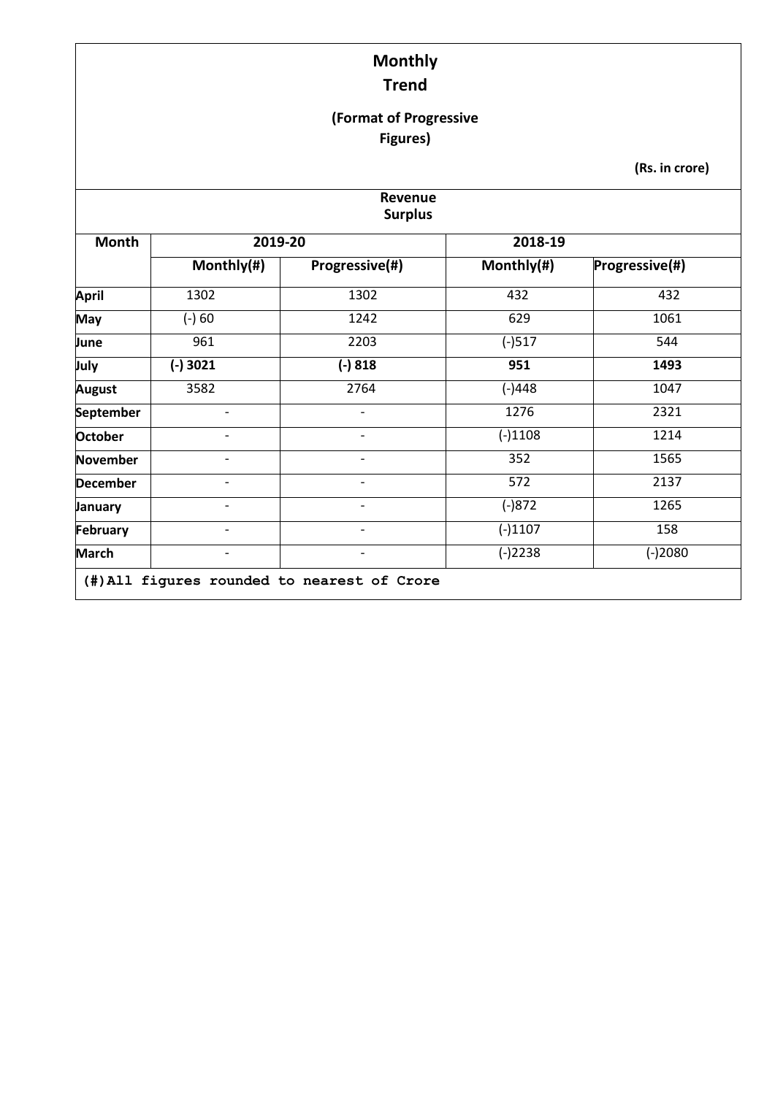#### **(Format of Progressive Figures)**

| Revenue<br><b>Surplus</b> |                              |                          |            |                |  |  |  |
|---------------------------|------------------------------|--------------------------|------------|----------------|--|--|--|
| Month                     | 2019-20                      |                          | 2018-19    |                |  |  |  |
|                           | Monthly(#)                   | Progressive(#)           | Monthly(#) | Progressive(#) |  |  |  |
| <b>April</b>              | 1302                         | 1302                     | 432        | 432            |  |  |  |
| <b>May</b>                | $(-) 60$                     | 1242                     | 629        | 1061           |  |  |  |
| June                      | 961                          | 2203                     | $(-)517$   | 544            |  |  |  |
| July                      | $(-)3021$                    | $(-) 818$                | 951        | 1493           |  |  |  |
| <b>August</b>             | 3582                         | 2764                     | $(-)448$   | 1047           |  |  |  |
| September                 |                              |                          | 1276       | 2321           |  |  |  |
| <b>October</b>            | $\overline{\phantom{0}}$     | $\overline{\phantom{a}}$ | $(-)1108$  | 1214           |  |  |  |
| <b>November</b>           | $\qquad \qquad \blacksquare$ | $\overline{\phantom{a}}$ | 352        | 1565           |  |  |  |
| <b>December</b>           | $\overline{\phantom{a}}$     | $\qquad \qquad -$        | 572        | 2137           |  |  |  |
| <b>January</b>            | $\qquad \qquad \blacksquare$ | $\overline{\phantom{0}}$ | $(-)872$   | 1265           |  |  |  |
| February                  | $\qquad \qquad \blacksquare$ | $\overline{\phantom{0}}$ | $(-)1107$  | 158            |  |  |  |
| <b>March</b>              | $\qquad \qquad \blacksquare$ | $\overline{\phantom{0}}$ | $(-)2238$  | $(-)2080$      |  |  |  |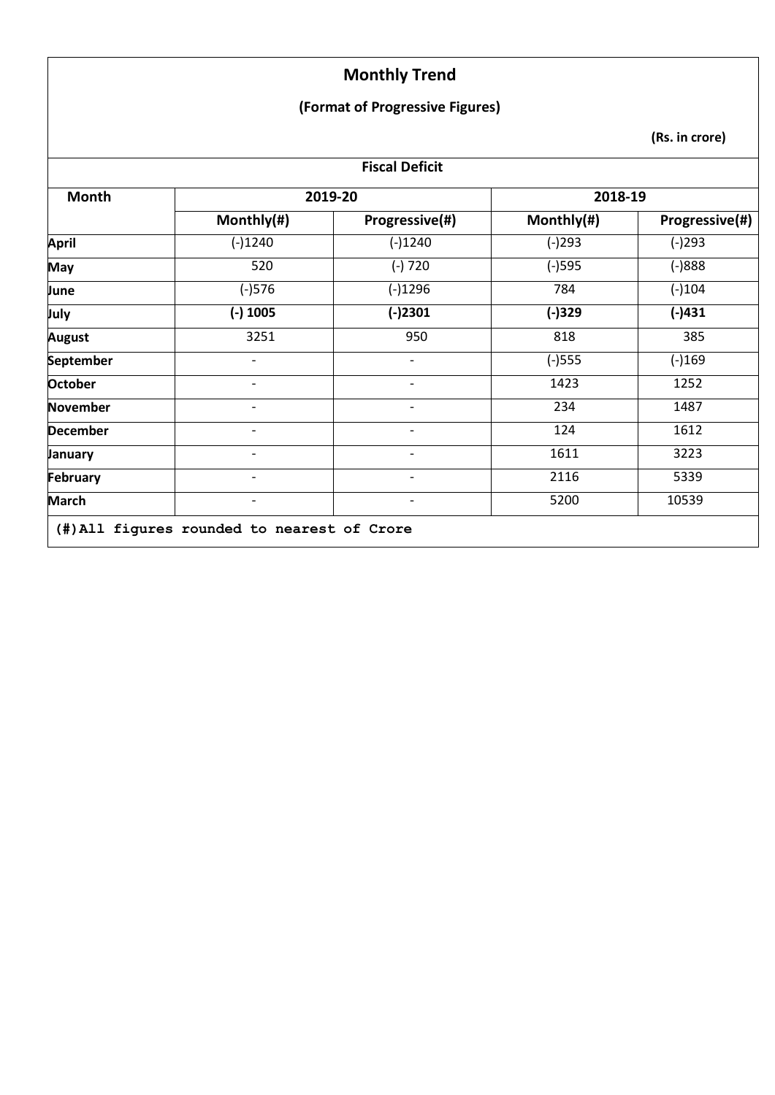#### **(Format of Progressive Figures)**

| <b>Fiscal Deficit</b> |                          |                          |            |                |  |  |  |  |
|-----------------------|--------------------------|--------------------------|------------|----------------|--|--|--|--|
| <b>Month</b>          |                          | 2019-20                  | 2018-19    |                |  |  |  |  |
|                       | Monthly(#)               | Progressive(#)           | Monthly(#) | Progressive(#) |  |  |  |  |
| <b>April</b>          | $(-)1240$                | $(-)1240$                | $(-)293$   | $(-)293$       |  |  |  |  |
| <b>May</b>            | 520                      | $(-)720$                 | $(-)595$   | $(-)888$       |  |  |  |  |
| June                  | $(-)576$                 | $(-)1296$                | 784        | $(-)104$       |  |  |  |  |
| July                  | $(-)$ 1005               | $(-)2301$                | $(-)329$   | $(-)431$       |  |  |  |  |
| <b>August</b>         | 3251                     | 950                      | 818        | 385            |  |  |  |  |
| September             | -                        |                          | $(-)$ 555  | $(-)169$       |  |  |  |  |
| <b>October</b>        | -                        | $\overline{\phantom{a}}$ | 1423       | 1252           |  |  |  |  |
| <b>November</b>       | -                        | $\overline{\phantom{a}}$ | 234        | 1487           |  |  |  |  |
| <b>December</b>       | -                        | $\overline{\phantom{0}}$ | 124        | 1612           |  |  |  |  |
| January               | -                        | $\overline{\phantom{0}}$ | 1611       | 3223           |  |  |  |  |
| February              | $\overline{\phantom{0}}$ | $\overline{\phantom{a}}$ | 2116       | 5339           |  |  |  |  |
| <b>March</b>          |                          |                          | 5200       | 10539          |  |  |  |  |